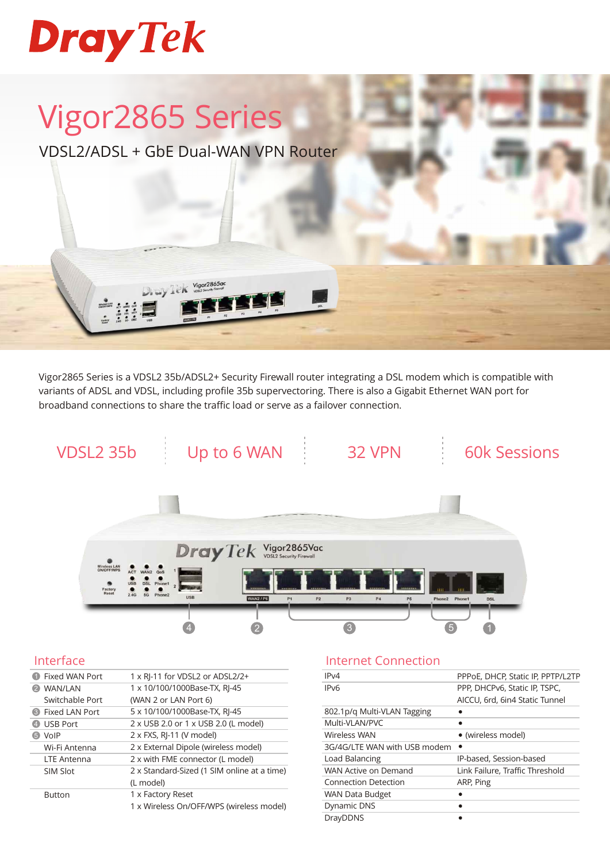

# Vigor2865 Series

VDSL2/ADSL + GbE Dual-WAN VPN Router

Vigor2865ac

Vigor2865 Series is a VDSL2 35b/ADSL2+ Security Firewall router integrating a DSL modem which is compatible with variants of ADSL and VDSL, including profile 35b supervectoring. There is also a Gigabit Ethernet WAN port for broadband connections to share the traffic load or serve as a failover connection.



#### Interface

| Fixed WAN Port          | 1 x RJ-11 for VDSL2 or ADSL2/2+             |
|-------------------------|---------------------------------------------|
| WAN/LAN                 | 1 x 10/100/1000Base-TX, RJ-45               |
| Switchable Port         | (WAN 2 or LAN Port 6)                       |
| <b>B</b> Fixed LAN Port | 5 x 10/100/1000Base-TX, RJ-45               |
| <b>USB Port</b>         | 2 x USB 2.0 or 1 x USB 2.0 (L model)        |
| VolP                    | 2 x FXS, RJ-11 (V model)                    |
| Wi-Fi Antenna           | 2 x External Dipole (wireless model)        |
| <b>LTE Antenna</b>      | 2 x with FME connector (L model)            |
| SIM Slot                | 2 x Standard-Sized (1 SIM online at a time) |
|                         | (L model)                                   |
| <b>Button</b>           | 1 x Factory Reset                           |
|                         | 1 x Wireless On/OFF/WPS (wireless model)    |

#### Internet Connection

| PPPoE, DHCP, Static IP, PPTP/L2TP |
|-----------------------------------|
| PPP, DHCPv6, Static IP, TSPC,     |
| AICCU, 6rd, 6in4 Static Tunnel    |
|                                   |
|                                   |
| • (wireless model)                |
|                                   |
| IP-based, Session-based           |
| Link Failure, Traffic Threshold   |
| ARP, Ping                         |
|                                   |
|                                   |
|                                   |
|                                   |